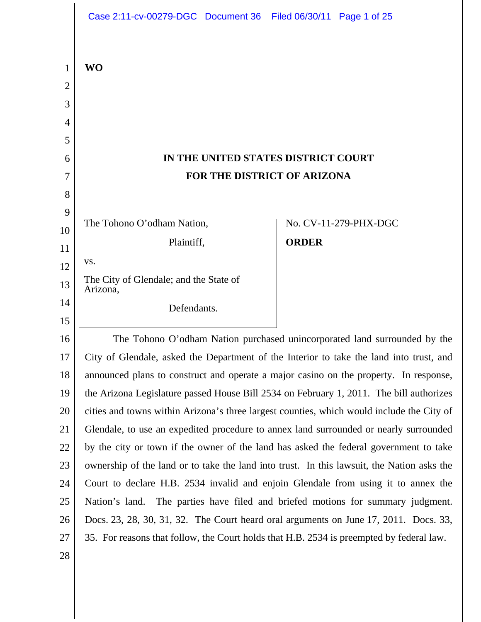|    | Case 2:11-cv-00279-DGC Document 36 Filed 06/30/11 Page 1 of 25                             |              |                       |
|----|--------------------------------------------------------------------------------------------|--------------|-----------------------|
| 1  | <b>WO</b>                                                                                  |              |                       |
| 2  |                                                                                            |              |                       |
| 3  |                                                                                            |              |                       |
| 4  |                                                                                            |              |                       |
| 5  |                                                                                            |              |                       |
| 6  | IN THE UNITED STATES DISTRICT COURT                                                        |              |                       |
| 7  | <b>FOR THE DISTRICT OF ARIZONA</b>                                                         |              |                       |
| 8  |                                                                                            |              |                       |
| 9  | The Tohono O'odham Nation,                                                                 |              | No. CV-11-279-PHX-DGC |
| 10 | Plaintiff,                                                                                 | <b>ORDER</b> |                       |
| 11 | VS.                                                                                        |              |                       |
| 12 | The City of Glendale; and the State of                                                     |              |                       |
| 13 | Arizona,                                                                                   |              |                       |
| 14 | Defendants.                                                                                |              |                       |
| 15 |                                                                                            |              |                       |
| 16 | The Tohono O'odham Nation purchased unincorporated land surrounded by the                  |              |                       |
| 17 | City of Glendale, asked the Department of the Interior to take the land into trust, and    |              |                       |
| 18 | announced plans to construct and operate a major casino on the property. In response,      |              |                       |
| 19 | the Arizona Legislature passed House Bill 2534 on February 1, 2011. The bill authorizes    |              |                       |
| 20 | cities and towns within Arizona's three largest counties, which would include the City of  |              |                       |
| 21 | Glendale, to use an expedited procedure to annex land surrounded or nearly surrounded      |              |                       |
| 22 | by the city or town if the owner of the land has asked the federal government to take      |              |                       |
| 23 | ownership of the land or to take the land into trust. In this lawsuit, the Nation asks the |              |                       |
| 24 | Court to declare H.B. 2534 invalid and enjoin Glendale from using it to annex the          |              |                       |
| 25 | Nation's land. The parties have filed and briefed motions for summary judgment.            |              |                       |
| 26 | Docs. 23, 28, 30, 31, 32. The Court heard oral arguments on June 17, 2011. Docs. 33,       |              |                       |
| 27 | 35. For reasons that follow, the Court holds that H.B. 2534 is preempted by federal law.   |              |                       |
| 28 |                                                                                            |              |                       |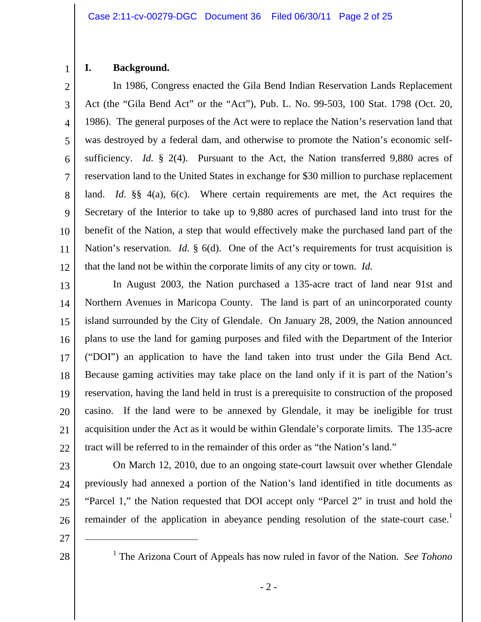# 1

# **I. Background.**

2 3 4 5 6 7 8 9 10 11 12 In 1986, Congress enacted the Gila Bend Indian Reservation Lands Replacement Act (the "Gila Bend Act" or the "Act"), Pub. L. No. 99-503, 100 Stat. 1798 (Oct. 20, 1986). The general purposes of the Act were to replace the Nation's reservation land that was destroyed by a federal dam, and otherwise to promote the Nation's economic selfsufficiency. *Id.* § 2(4). Pursuant to the Act, the Nation transferred 9,880 acres of reservation land to the United States in exchange for \$30 million to purchase replacement land. *Id.* §§ 4(a), 6(c). Where certain requirements are met, the Act requires the Secretary of the Interior to take up to 9,880 acres of purchased land into trust for the benefit of the Nation, a step that would effectively make the purchased land part of the Nation's reservation. *Id.* § 6(d). One of the Act's requirements for trust acquisition is that the land not be within the corporate limits of any city or town. *Id.*

13 14 15 16 17 18 19 20 21 22 In August 2003, the Nation purchased a 135-acre tract of land near 91st and Northern Avenues in Maricopa County. The land is part of an unincorporated county island surrounded by the City of Glendale. On January 28, 2009, the Nation announced plans to use the land for gaming purposes and filed with the Department of the Interior ("DOI") an application to have the land taken into trust under the Gila Bend Act. Because gaming activities may take place on the land only if it is part of the Nation's reservation, having the land held in trust is a prerequisite to construction of the proposed casino. If the land were to be annexed by Glendale, it may be ineligible for trust acquisition under the Act as it would be within Glendale's corporate limits. The 135-acre tract will be referred to in the remainder of this order as "the Nation's land."

23 24 25 26 On March 12, 2010, due to an ongoing state-court lawsuit over whether Glendale previously had annexed a portion of the Nation's land identified in title documents as "Parcel 1," the Nation requested that DOI accept only "Parcel 2" in trust and hold the remainder of the application in abeyance pending resolution of the state-court case.<sup>1</sup>

27

 $\overline{a}$ 

<sup>&</sup>lt;sup>1</sup> The Arizona Court of Appeals has now ruled in favor of the Nation. *See Tohono*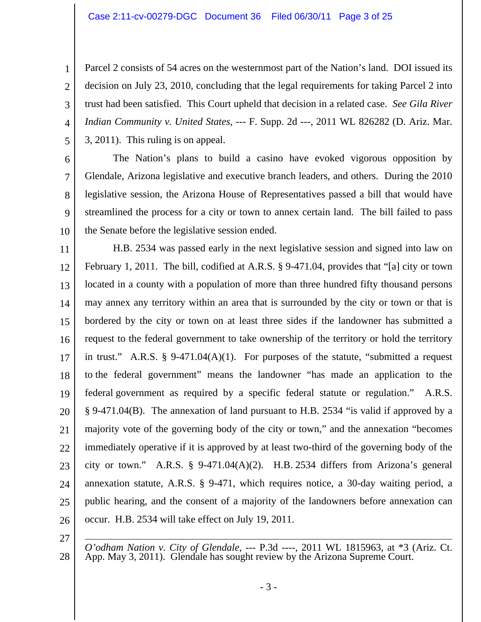4 Parcel 2 consists of 54 acres on the westernmost part of the Nation's land. DOI issued its decision on July 23, 2010, concluding that the legal requirements for taking Parcel 2 into trust had been satisfied. This Court upheld that decision in a related case. *See Gila River Indian Community v. United States*, --- F. Supp. 2d ---, 2011 WL 826282 (D. Ariz. Mar. 3, 2011). This ruling is on appeal.

5 6

1

2

3

7 8 9 10 The Nation's plans to build a casino have evoked vigorous opposition by Glendale, Arizona legislative and executive branch leaders, and others. During the 2010 legislative session, the Arizona House of Representatives passed a bill that would have streamlined the process for a city or town to annex certain land. The bill failed to pass the Senate before the legislative session ended.

11 12 13 14 15 16 17 18 19 20 21 22 23 24 25 26 H.B. 2534 was passed early in the next legislative session and signed into law on February 1, 2011. The bill, codified at A.R.S. § 9-471.04, provides that "[a] city or town located in a county with a population of more than three hundred fifty thousand persons may annex any territory within an area that is surrounded by the city or town or that is bordered by the city or town on at least three sides if the landowner has submitted a request to the federal government to take ownership of the territory or hold the territory in trust." A.R.S.  $\S$  9-471.04(A)(1). For purposes of the statute, "submitted a request to the federal government" means the landowner "has made an application to the federal government as required by a specific federal statute or regulation." A.R.S. § 9-471.04(B). The annexation of land pursuant to H.B. 2534 "is valid if approved by a majority vote of the governing body of the city or town," and the annexation "becomes immediately operative if it is approved by at least two-third of the governing body of the city or town." A.R.S. § 9-471.04 $(A)(2)$ . H.B. 2534 differs from Arizona's general annexation statute, A.R.S. § 9-471, which requires notice, a 30-day waiting period, a public hearing, and the consent of a majority of the landowners before annexation can occur. H.B. 2534 will take effect on July 19, 2011.

27

28

 *O'odham Nation v. City of Glendale*, --- P.3d ----, 2011 WL 1815963, at \*3 (Ariz. Ct. App. May 3, 2011). Glendale has sought review by the Arizona Supreme Court.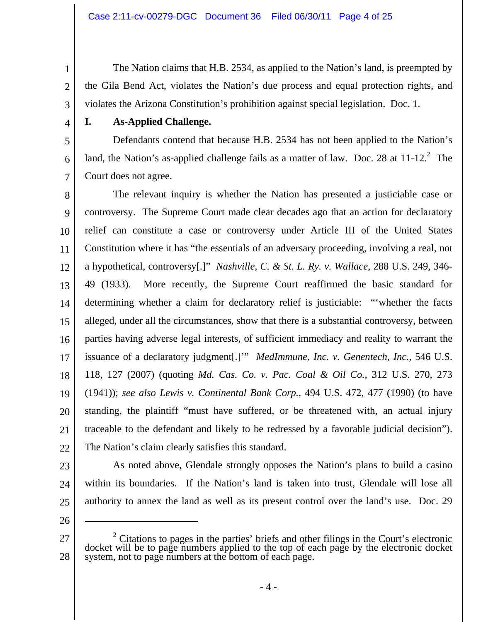The Nation claims that H.B. 2534, as applied to the Nation's land, is preempted by the Gila Bend Act, violates the Nation's due process and equal protection rights, and violates the Arizona Constitution's prohibition against special legislation. Doc. 1.

4

5

6

7

1

2

3

# **I. As-Applied Challenge.**

 Defendants contend that because H.B. 2534 has not been applied to the Nation's land, the Nation's as-applied challenge fails as a matter of law. Doc. 28 at  $11{\text -}12$ .<sup>2</sup> The Court does not agree.

8 9 10 11 12 13 14 15 16 17 18 19 20 21 22 The relevant inquiry is whether the Nation has presented a justiciable case or controversy. The Supreme Court made clear decades ago that an action for declaratory relief can constitute a case or controversy under Article III of the United States Constitution where it has "the essentials of an adversary proceeding, involving a real, not a hypothetical, controversy[.]" *Nashville, C. & St. L. Ry. v. Wallace*, 288 U.S. 249, 346- 49 (1933). More recently, the Supreme Court reaffirmed the basic standard for determining whether a claim for declaratory relief is justiciable: "'whether the facts alleged, under all the circumstances, show that there is a substantial controversy, between parties having adverse legal interests, of sufficient immediacy and reality to warrant the issuance of a declaratory judgment[.]'" *MedImmune, Inc. v. Genentech, Inc.*, 546 U.S. 118, 127 (2007) (quoting *Md. Cas. Co. v. Pac. Coal & Oil Co.*, 312 U.S. 270, 273 (1941)); *see also Lewis v. Continental Bank Corp.*, 494 U.S. 472, 477 (1990) (to have standing, the plaintiff "must have suffered, or be threatened with, an actual injury traceable to the defendant and likely to be redressed by a favorable judicial decision"). The Nation's claim clearly satisfies this standard.

- 23
- 24
- 25

26

 $\overline{a}$ 

27 28  $\frac{2}{3}$  Citations to pages in the parties' briefs and other filings in the Court's electronic docket will be to page numbers applied to the top of each page by the electronic docket system, not to page numbers at the bo

As noted above, Glendale strongly opposes the Nation's plans to build a casino

within its boundaries. If the Nation's land is taken into trust, Glendale will lose all

authority to annex the land as well as its present control over the land's use. Doc. 29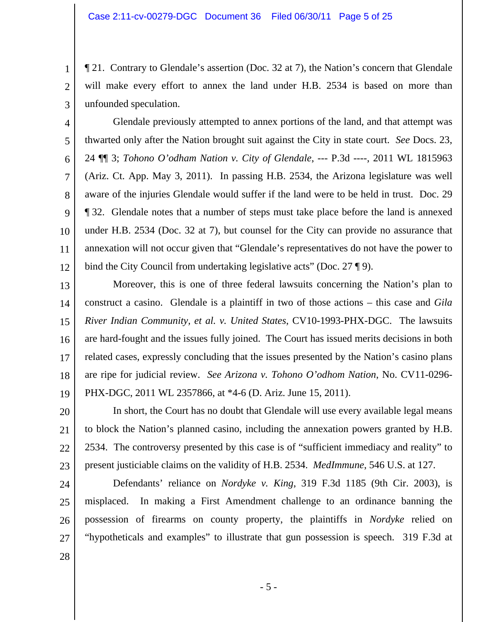¶ 21. Contrary to Glendale's assertion (Doc. 32 at 7), the Nation's concern that Glendale will make every effort to annex the land under H.B. 2534 is based on more than unfounded speculation.

 Glendale previously attempted to annex portions of the land, and that attempt was thwarted only after the Nation brought suit against the City in state court. *See* Docs. 23, 24 ¶¶ 3; *Tohono O'odham Nation v. City of Glendale*, --- P.3d ----, 2011 WL 1815963 (Ariz. Ct. App. May 3, 2011). In passing H.B. 2534, the Arizona legislature was well aware of the injuries Glendale would suffer if the land were to be held in trust. Doc. 29 ¶ 32. Glendale notes that a number of steps must take place before the land is annexed under H.B. 2534 (Doc. 32 at 7), but counsel for the City can provide no assurance that annexation will not occur given that "Glendale's representatives do not have the power to bind the City Council from undertaking legislative acts" (Doc. 27 ¶ 9).

13 14 15 16 17 18 19 Moreover, this is one of three federal lawsuits concerning the Nation's plan to construct a casino. Glendale is a plaintiff in two of those actions – this case and *Gila River Indian Community, et al. v. United States*, CV10-1993-PHX-DGC. The lawsuits are hard-fought and the issues fully joined. The Court has issued merits decisions in both related cases, expressly concluding that the issues presented by the Nation's casino plans are ripe for judicial review. *See Arizona v. Tohono O'odhom Nation*, No. CV11-0296- PHX-DGC, 2011 WL 2357866, at \*4-6 (D. Ariz. June 15, 2011).

20 21 22 23 In short, the Court has no doubt that Glendale will use every available legal means to block the Nation's planned casino, including the annexation powers granted by H.B. 2534. The controversy presented by this case is of "sufficient immediacy and reality" to present justiciable claims on the validity of H.B. 2534. *MedImmune*, 546 U.S. at 127.

24 25 26 27 Defendants' reliance on *Nordyke v. King*, 319 F.3d 1185 (9th Cir. 2003), is misplaced. In making a First Amendment challenge to an ordinance banning the possession of firearms on county property, the plaintiffs in *Nordyke* relied on "hypotheticals and examples" to illustrate that gun possession is speech. 319 F.3d at

28

1

2

3

4

5

6

7

8

9

10

11

12

- 5 -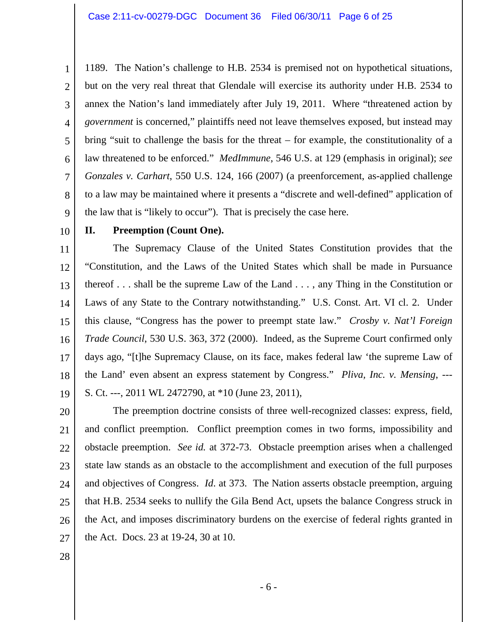1 2 3 4 5 6 7 8 9 1189. The Nation's challenge to H.B. 2534 is premised not on hypothetical situations, but on the very real threat that Glendale will exercise its authority under H.B. 2534 to annex the Nation's land immediately after July 19, 2011. Where "threatened action by *government* is concerned," plaintiffs need not leave themselves exposed, but instead may bring "suit to challenge the basis for the threat – for example, the constitutionality of a law threatened to be enforced." *MedImmune*, 546 U.S. at 129 (emphasis in original); *see Gonzales v. Carhart*, 550 U.S. 124, 166 (2007) (a preenforcement, as-applied challenge to a law may be maintained where it presents a "discrete and well-defined" application of the law that is "likely to occur"). That is precisely the case here.

10

#### **II. Preemption (Count One).**

11 12 13 14 15 16 17 18 19 The Supremacy Clause of the United States Constitution provides that the "Constitution, and the Laws of the United States which shall be made in Pursuance thereof . . . shall be the supreme Law of the Land . . . , any Thing in the Constitution or Laws of any State to the Contrary notwithstanding." U.S. Const. Art. VI cl. 2. Under this clause, "Congress has the power to preempt state law." *Crosby v. Nat'l Foreign Trade Council*, 530 U.S. 363, 372 (2000). Indeed, as the Supreme Court confirmed only days ago, "[t]he Supremacy Clause, on its face, makes federal law 'the supreme Law of the Land' even absent an express statement by Congress." *Pliva, Inc. v. Mensing*, --- S. Ct. ---, 2011 WL 2472790, at \*10 (June 23, 2011),

20 21 22 23 24 25 26 27 The preemption doctrine consists of three well-recognized classes: express, field, and conflict preemption. Conflict preemption comes in two forms, impossibility and obstacle preemption. *See id.* at 372-73. Obstacle preemption arises when a challenged state law stands as an obstacle to the accomplishment and execution of the full purposes and objectives of Congress. *Id*. at 373. The Nation asserts obstacle preemption, arguing that H.B. 2534 seeks to nullify the Gila Bend Act, upsets the balance Congress struck in the Act, and imposes discriminatory burdens on the exercise of federal rights granted in the Act. Docs. 23 at 19-24, 30 at 10.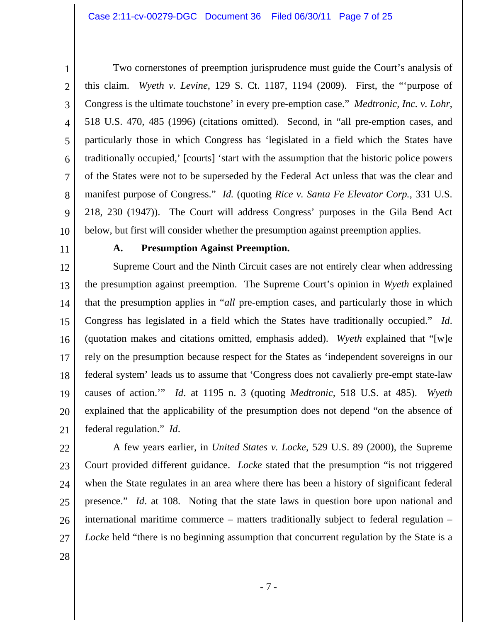1 2

3 4 5 6 7 8 9 10 Two cornerstones of preemption jurisprudence must guide the Court's analysis of this claim. *Wyeth v. Levine*, 129 S. Ct. 1187, 1194 (2009). First, the "'purpose of Congress is the ultimate touchstone' in every pre-emption case." *Medtronic, Inc. v. Lohr*, 518 U.S. 470, 485 (1996) (citations omitted). Second, in "all pre-emption cases, and particularly those in which Congress has 'legislated in a field which the States have traditionally occupied,' [courts] 'start with the assumption that the historic police powers of the States were not to be superseded by the Federal Act unless that was the clear and manifest purpose of Congress." *Id.* (quoting *Rice v. Santa Fe Elevator Corp.*, 331 U.S. 218, 230 (1947)). The Court will address Congress' purposes in the Gila Bend Act below, but first will consider whether the presumption against preemption applies.

11

#### **A. Presumption Against Preemption.**

12 13 14 15 16 17 18 19 20 21 Supreme Court and the Ninth Circuit cases are not entirely clear when addressing the presumption against preemption. The Supreme Court's opinion in *Wyeth* explained that the presumption applies in "*all* pre-emption cases, and particularly those in which Congress has legislated in a field which the States have traditionally occupied." *Id*. (quotation makes and citations omitted, emphasis added). *Wyeth* explained that "[w]e rely on the presumption because respect for the States as 'independent sovereigns in our federal system' leads us to assume that 'Congress does not cavalierly pre-empt state-law causes of action.'" *Id*. at 1195 n. 3 (quoting *Medtronic,* 518 U.S. at 485). *Wyeth* explained that the applicability of the presumption does not depend "on the absence of federal regulation." *Id*.

22

23 24 25 26 27 A few years earlier, in *United States v. Locke*, 529 U.S. 89 (2000), the Supreme Court provided different guidance. *Locke* stated that the presumption "is not triggered when the State regulates in an area where there has been a history of significant federal presence." *Id*. at 108. Noting that the state laws in question bore upon national and international maritime commerce – matters traditionally subject to federal regulation – *Locke* held "there is no beginning assumption that concurrent regulation by the State is a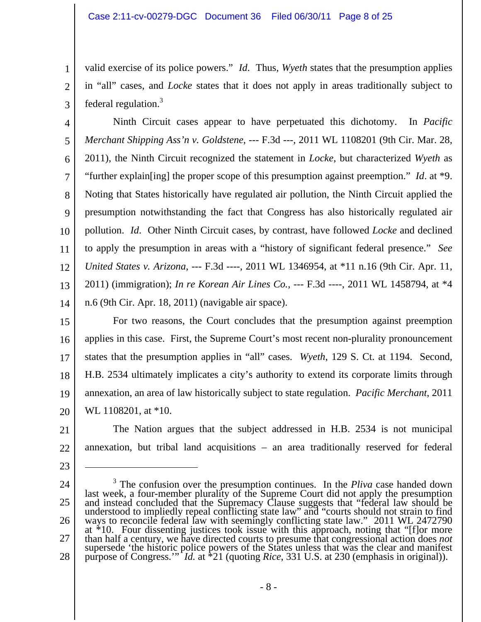1

2

3

23

 $\overline{a}$ 

valid exercise of its police powers." *Id*. Thus, *Wyeth* states that the presumption applies in "all" cases, and *Locke* states that it does not apply in areas traditionally subject to federal regulation.<sup>3</sup>

4 5 6 7 8 9 10 11 12 13 14 Ninth Circuit cases appear to have perpetuated this dichotomy. In *Pacific Merchant Shipping Ass'n v. Goldstene*, --- F.3d ---, 2011 WL 1108201 (9th Cir. Mar. 28, 2011), the Ninth Circuit recognized the statement in *Locke*, but characterized *Wyeth* as "further explain[ing] the proper scope of this presumption against preemption." *Id*. at \*9. Noting that States historically have regulated air pollution, the Ninth Circuit applied the presumption notwithstanding the fact that Congress has also historically regulated air pollution. *Id*. Other Ninth Circuit cases, by contrast, have followed *Locke* and declined to apply the presumption in areas with a "history of significant federal presence." *See United States v. Arizona*, --- F.3d ----, 2011 WL 1346954, at \*11 n.16 (9th Cir. Apr. 11, 2011) (immigration); *In re Korean Air Lines Co.*, --- F.3d ----, 2011 WL 1458794, at \*4 n.6 (9th Cir. Apr. 18, 2011) (navigable air space).

15 16 17 18 19 20 For two reasons, the Court concludes that the presumption against preemption applies in this case. First, the Supreme Court's most recent non-plurality pronouncement states that the presumption applies in "all" cases. *Wyeth*, 129 S. Ct. at 1194. Second, H.B. 2534 ultimately implicates a city's authority to extend its corporate limits through annexation, an area of law historically subject to state regulation. *Pacific Merchant*, 2011 WL 1108201, at \*10.

21 22 The Nation argues that the subject addressed in H.B. 2534 is not municipal annexation, but tribal land acquisitions – an area traditionally reserved for federal

24 25 26 27 28 <sup>3</sup> The confusion over the presumption continues. In the *Pliva* case handed down last week, a four-member plurality of the Supreme Court did not apply the presumption<br>and instead concluded that the Supremacy Clause suggests that "federal law should be<br>understood to impliedly repeal conflicting state la ways to reconcile federal faw with seemingly conflicting state law." 2011 WL 2472790 at \*10. Four dissenting justices took issue with this approach, noting that "[f] or more than half a century, we have directed courts to supersede 'the historic police powers of the States unless that was the clear and manifest purpose of Congress.'" *Id.* at \*21 (quoting *Rice*, 331 U.S. at 230 (emphasis in original)).

- 8 -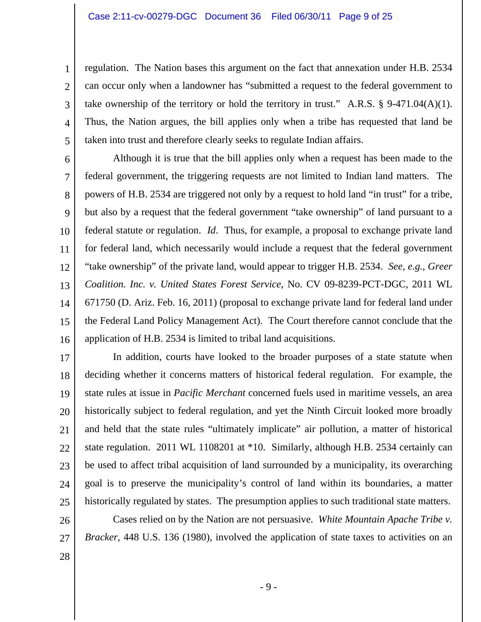regulation. The Nation bases this argument on the fact that annexation under H.B. 2534 can occur only when a landowner has "submitted a request to the federal government to take ownership of the territory or hold the territory in trust." A.R.S.  $\S$  9-471.04(A)(1). Thus, the Nation argues, the bill applies only when a tribe has requested that land be taken into trust and therefore clearly seeks to regulate Indian affairs.

6 7 8 9 10 11 12 13 14 15 16 Although it is true that the bill applies only when a request has been made to the federal government, the triggering requests are not limited to Indian land matters. The powers of H.B. 2534 are triggered not only by a request to hold land "in trust" for a tribe, but also by a request that the federal government "take ownership" of land pursuant to a federal statute or regulation. *Id*. Thus, for example, a proposal to exchange private land for federal land, which necessarily would include a request that the federal government "take ownership" of the private land, would appear to trigger H.B. 2534. *See*, *e.g.*, *Greer Coalition. Inc. v. United States Forest Service*, No. CV 09-8239-PCT-DGC, 2011 WL 671750 (D. Ariz. Feb. 16, 2011) (proposal to exchange private land for federal land under the Federal Land Policy Management Act). The Court therefore cannot conclude that the application of H.B. 2534 is limited to tribal land acquisitions.

17 18 19 20 21 22 23 24 25 In addition, courts have looked to the broader purposes of a state statute when deciding whether it concerns matters of historical federal regulation. For example, the state rules at issue in *Pacific Merchant* concerned fuels used in maritime vessels, an area historically subject to federal regulation, and yet the Ninth Circuit looked more broadly and held that the state rules "ultimately implicate" air pollution, a matter of historical state regulation. 2011 WL 1108201 at \*10. Similarly, although H.B. 2534 certainly can be used to affect tribal acquisition of land surrounded by a municipality, its overarching goal is to preserve the municipality's control of land within its boundaries, a matter historically regulated by states. The presumption applies to such traditional state matters.

26 27 Cases relied on by the Nation are not persuasive. *White Mountain Apache Tribe v. Bracker*, 448 U.S. 136 (1980), involved the application of state taxes to activities on an

28

1

2

3

4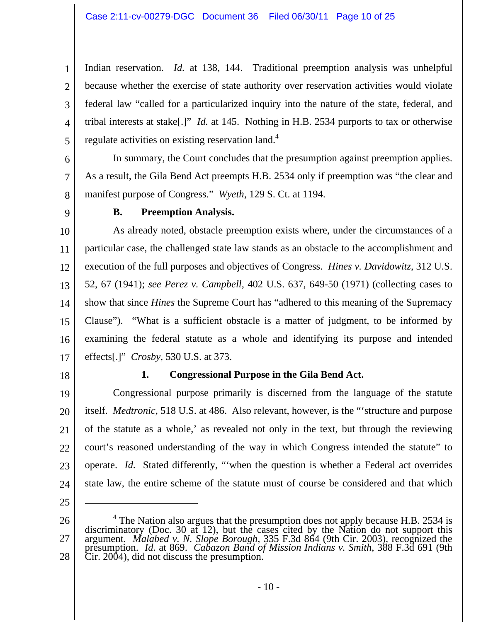1 2 3 4 5 Indian reservation. *Id.* at 138, 144. Traditional preemption analysis was unhelpful because whether the exercise of state authority over reservation activities would violate federal law "called for a particularized inquiry into the nature of the state, federal, and tribal interests at stake[.]" *Id.* at 145. Nothing in H.B. 2534 purports to tax or otherwise regulate activities on existing reservation land.<sup>4</sup>

6

7

 In summary, the Court concludes that the presumption against preemption applies. As a result, the Gila Bend Act preempts H.B. 2534 only if preemption was "the clear and manifest purpose of Congress." *Wyeth*, 129 S. Ct. at 1194.

8 9

# **B. Preemption Analysis.**

10 11 12 13 14 15 16 17 As already noted, obstacle preemption exists where, under the circumstances of a particular case, the challenged state law stands as an obstacle to the accomplishment and execution of the full purposes and objectives of Congress. *Hines v. Davidowitz*, 312 U.S. 52, 67 (1941); *see Perez v. Campbell*, 402 U.S. 637, 649-50 (1971) (collecting cases to show that since *Hines* the Supreme Court has "adhered to this meaning of the Supremacy Clause"). "What is a sufficient obstacle is a matter of judgment, to be informed by examining the federal statute as a whole and identifying its purpose and intended effects[.]" *Crosby*, 530 U.S. at 373.

18

# **1. Congressional Purpose in the Gila Bend Act.**

19 20 21 22 23 24 Congressional purpose primarily is discerned from the language of the statute itself. *Medtronic*, 518 U.S. at 486. Also relevant, however, is the "'structure and purpose of the statute as a whole,' as revealed not only in the text, but through the reviewing court's reasoned understanding of the way in which Congress intended the statute" to operate. *Id.* Stated differently, "'when the question is whether a Federal act overrides state law, the entire scheme of the statute must of course be considered and that which

25

 $\overline{a}$ 

<sup>26</sup>  27 28 <sup>4</sup> The Nation also argues that the presumption does not apply because H.B. 2534 is discriminatory (Doc. 30 at 12), but the cases cited by the Nation do not support this argument. *Malabed v. N. Slope Borough*, 335 F.3d 864 (9th Cir. 2003), recognized the presumption. *Id*. at 869. *Cabazon Band of Mission Indians v. Smith*, 388 F.3d 691 (9th Cir. 2004), did not discuss the presumption.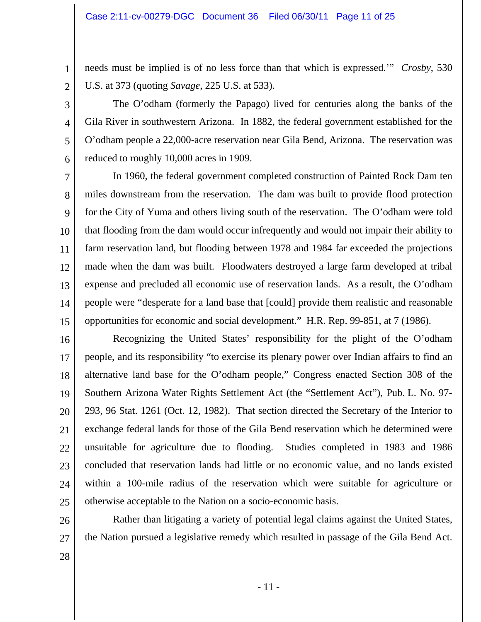needs must be implied is of no less force than that which is expressed.'" *Crosby*, 530 U.S. at 373 (quoting *Savage*, 225 U.S. at 533).

2 3

4

5

6

1

The O'odham (formerly the Papago) lived for centuries along the banks of the Gila River in southwestern Arizona. In 1882, the federal government established for the O'odham people a 22,000-acre reservation near Gila Bend, Arizona. The reservation was reduced to roughly 10,000 acres in 1909.

7 8 9 10 11 12 13 14 15 In 1960, the federal government completed construction of Painted Rock Dam ten miles downstream from the reservation. The dam was built to provide flood protection for the City of Yuma and others living south of the reservation. The O'odham were told that flooding from the dam would occur infrequently and would not impair their ability to farm reservation land, but flooding between 1978 and 1984 far exceeded the projections made when the dam was built. Floodwaters destroyed a large farm developed at tribal expense and precluded all economic use of reservation lands. As a result, the O'odham people were "desperate for a land base that [could] provide them realistic and reasonable opportunities for economic and social development." H.R. Rep. 99-851, at 7 (1986).

16 17 18 19 20 21 22 23 24 25 Recognizing the United States' responsibility for the plight of the O'odham people, and its responsibility "to exercise its plenary power over Indian affairs to find an alternative land base for the O'odham people," Congress enacted Section 308 of the Southern Arizona Water Rights Settlement Act (the "Settlement Act"), Pub. L. No. 97- 293, 96 Stat. 1261 (Oct. 12, 1982). That section directed the Secretary of the Interior to exchange federal lands for those of the Gila Bend reservation which he determined were unsuitable for agriculture due to flooding. Studies completed in 1983 and 1986 concluded that reservation lands had little or no economic value, and no lands existed within a 100-mile radius of the reservation which were suitable for agriculture or otherwise acceptable to the Nation on a socio-economic basis.

26 27 Rather than litigating a variety of potential legal claims against the United States, the Nation pursued a legislative remedy which resulted in passage of the Gila Bend Act.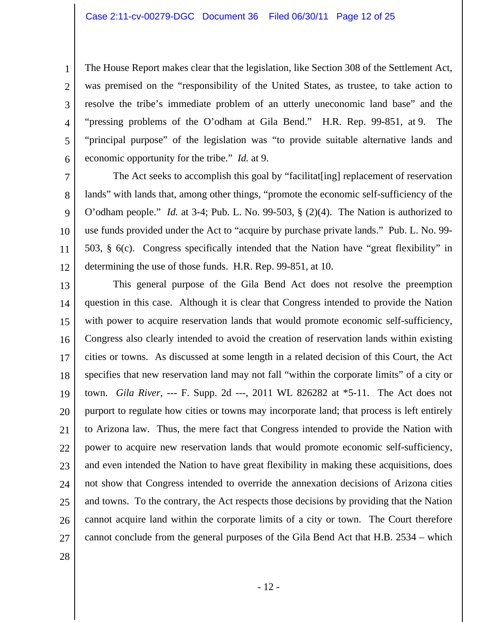The House Report makes clear that the legislation, like Section 308 of the Settlement Act, was premised on the "responsibility of the United States, as trustee, to take action to resolve the tribe's immediate problem of an utterly uneconomic land base" and the "pressing problems of the O'odham at Gila Bend." H.R. Rep. 99-851, at 9. The "principal purpose" of the legislation was "to provide suitable alternative lands and economic opportunity for the tribe." *Id.* at 9.

7 8 9 10 11 12 The Act seeks to accomplish this goal by "facilitat[ing] replacement of reservation lands" with lands that, among other things, "promote the economic self-sufficiency of the O'odham people." *Id.* at 3-4; Pub. L. No. 99-503, § (2)(4). The Nation is authorized to use funds provided under the Act to "acquire by purchase private lands." Pub. L. No. 99- 503, § 6(c). Congress specifically intended that the Nation have "great flexibility" in determining the use of those funds. H.R. Rep. 99-851, at 10.

13 14 15 16 17 18 19 20 21 22 23 24 25 26 27 This general purpose of the Gila Bend Act does not resolve the preemption question in this case. Although it is clear that Congress intended to provide the Nation with power to acquire reservation lands that would promote economic self-sufficiency, Congress also clearly intended to avoid the creation of reservation lands within existing cities or towns. As discussed at some length in a related decision of this Court, the Act specifies that new reservation land may not fall "within the corporate limits" of a city or town. *Gila River*, --- F. Supp. 2d ---, 2011 WL 826282 at \*5-11. The Act does not purport to regulate how cities or towns may incorporate land; that process is left entirely to Arizona law. Thus, the mere fact that Congress intended to provide the Nation with power to acquire new reservation lands that would promote economic self-sufficiency, and even intended the Nation to have great flexibility in making these acquisitions, does not show that Congress intended to override the annexation decisions of Arizona cities and towns. To the contrary, the Act respects those decisions by providing that the Nation cannot acquire land within the corporate limits of a city or town. The Court therefore cannot conclude from the general purposes of the Gila Bend Act that H.B. 2534 – which

28

1

2

3

4

5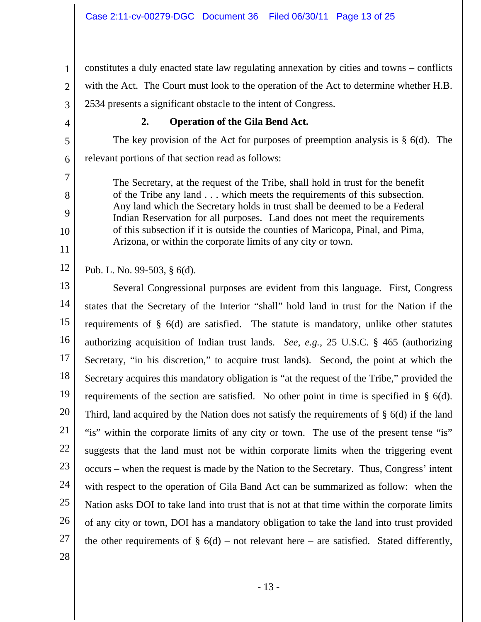1 2 3 constitutes a duly enacted state law regulating annexation by cities and towns – conflicts with the Act. The Court must look to the operation of the Act to determine whether H.B. 2534 presents a significant obstacle to the intent of Congress.

4

5

6

7

8

9

10

11

# **2. Operation of the Gila Bend Act.**

The key provision of the Act for purposes of preemption analysis is  $\S$  6(d). The relevant portions of that section read as follows:

The Secretary, at the request of the Tribe, shall hold in trust for the benefit of the Tribe any land . . . which meets the requirements of this subsection. Any land which the Secretary holds in trust shall be deemed to be a Federal Indian Reservation for all purposes. Land does not meet the requirements of this subsection if it is outside the counties of Maricopa, Pinal, and Pima, Arizona, or within the corporate limits of any city or town.

12 Pub. L. No. 99-503, § 6(d).

13 14 15 16 17 18 19 20 21 22 23 24 25 26 27 28 Several Congressional purposes are evident from this language. First, Congress states that the Secretary of the Interior "shall" hold land in trust for the Nation if the requirements of § 6(d) are satisfied. The statute is mandatory, unlike other statutes authorizing acquisition of Indian trust lands. *See*, *e.g.*, 25 U.S.C. § 465 (authorizing Secretary, "in his discretion," to acquire trust lands). Second, the point at which the Secretary acquires this mandatory obligation is "at the request of the Tribe," provided the requirements of the section are satisfied. No other point in time is specified in § 6(d). Third, land acquired by the Nation does not satisfy the requirements of § 6(d) if the land "is" within the corporate limits of any city or town. The use of the present tense "is" suggests that the land must not be within corporate limits when the triggering event occurs – when the request is made by the Nation to the Secretary. Thus, Congress' intent with respect to the operation of Gila Band Act can be summarized as follow: when the Nation asks DOI to take land into trust that is not at that time within the corporate limits of any city or town, DOI has a mandatory obligation to take the land into trust provided the other requirements of  $\S$  6(d) – not relevant here – are satisfied. Stated differently,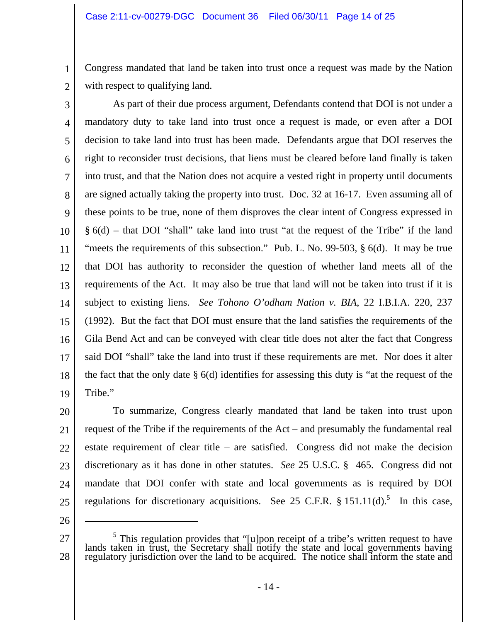Congress mandated that land be taken into trust once a request was made by the Nation with respect to qualifying land.

2

1

3 4 5 6 7 8 9 10 11 12 13 14 15 16 17 18 19 As part of their due process argument, Defendants contend that DOI is not under a mandatory duty to take land into trust once a request is made, or even after a DOI decision to take land into trust has been made. Defendants argue that DOI reserves the right to reconsider trust decisions, that liens must be cleared before land finally is taken into trust, and that the Nation does not acquire a vested right in property until documents are signed actually taking the property into trust. Doc. 32 at 16-17. Even assuming all of these points to be true, none of them disproves the clear intent of Congress expressed in  $§ 6(d)$  – that DOI "shall" take land into trust "at the request of the Tribe" if the land "meets the requirements of this subsection." Pub. L. No. 99-503, § 6(d). It may be true that DOI has authority to reconsider the question of whether land meets all of the requirements of the Act. It may also be true that land will not be taken into trust if it is subject to existing liens. *See Tohono O'odham Nation v. BIA*, 22 I.B.I.A. 220, 237 (1992). But the fact that DOI must ensure that the land satisfies the requirements of the Gila Bend Act and can be conveyed with clear title does not alter the fact that Congress said DOI "shall" take the land into trust if these requirements are met. Nor does it alter the fact that the only date  $\S$  6(d) identifies for assessing this duty is "at the request of the Tribe."

20 21 22 23 24 25 To summarize, Congress clearly mandated that land be taken into trust upon request of the Tribe if the requirements of the Act – and presumably the fundamental real estate requirement of clear title – are satisfied. Congress did not make the decision discretionary as it has done in other statutes. *See* 25 U.S.C. § 465. Congress did not mandate that DOI confer with state and local governments as is required by DOI regulations for discretionary acquisitions. See 25 C.F.R.  $§$  151.11(d).<sup>5</sup> In this case,

26

 $\overline{a}$ 

<sup>27</sup>  28 <sup>5</sup> This regulation provides that "[u]pon receipt of a tribe's written request to have lands taken in trust, the Secretary shall notify the state and local governments having regulatory jurisdiction over the land to be ac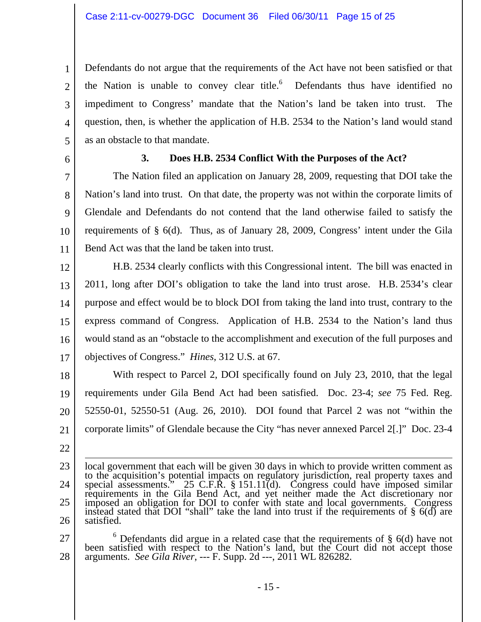1 2 3 4 5 Defendants do not argue that the requirements of the Act have not been satisfied or that the Nation is unable to convey clear title. $6$  Defendants thus have identified no impediment to Congress' mandate that the Nation's land be taken into trust. The question, then, is whether the application of H.B. 2534 to the Nation's land would stand as an obstacle to that mandate.

6

#### **3. Does H.B. 2534 Conflict With the Purposes of the Act?**

7 8 9 10 11 The Nation filed an application on January 28, 2009, requesting that DOI take the Nation's land into trust. On that date, the property was not within the corporate limits of Glendale and Defendants do not contend that the land otherwise failed to satisfy the requirements of § 6(d). Thus, as of January 28, 2009, Congress' intent under the Gila Bend Act was that the land be taken into trust.

12 13 14 15 16 17 H.B. 2534 clearly conflicts with this Congressional intent. The bill was enacted in 2011, long after DOI's obligation to take the land into trust arose. H.B. 2534's clear purpose and effect would be to block DOI from taking the land into trust, contrary to the express command of Congress. Application of H.B. 2534 to the Nation's land thus would stand as an "obstacle to the accomplishment and execution of the full purposes and objectives of Congress." *Hines*, 312 U.S. at 67.

18 19 20 21 With respect to Parcel 2, DOI specifically found on July 23, 2010, that the legal requirements under Gila Bend Act had been satisfied. Doc. 23-4; *see* 75 Fed. Reg. 52550-01, 52550-51 (Aug. 26, 2010). DOI found that Parcel 2 was not "within the corporate limits" of Glendale because the City "has never annexed Parcel 2[.]" Doc. 23-4

27 28  $6$  Defendants did argue in a related case that the requirements of § 6(d) have not Defendants did argue in a related case that the requirements of § 6(d) have not been satisfied with respect to the Nation's land, but the Court did not accept those arguments. *See Gila River*, --- F. Supp. 2d ---, 2011 WL 826282.

<sup>22</sup>  23 24 25 26 local government that each will be given 30 days in which to provide written comment as to the acquisition's potential impacts on regulatory jurisdiction, real property taxes and<br>special assessments." 25 C.F.R. § 151.11(d). Congress could have imposed similar<br>requirements in the Gila Bend Act, and yet neithe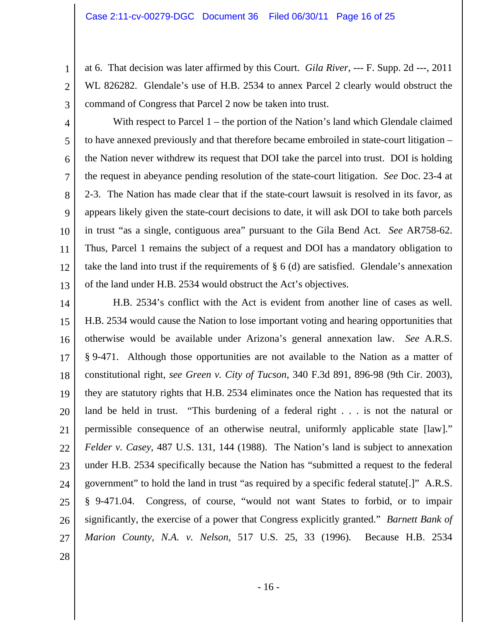1

2

3

5

8

11

12

13

28

at 6. That decision was later affirmed by this Court. *Gila River*, --- F. Supp. 2d ---, 2011 WL 826282. Glendale's use of H.B. 2534 to annex Parcel 2 clearly would obstruct the command of Congress that Parcel 2 now be taken into trust.

4 6 7 9 10 With respect to Parcel 1 – the portion of the Nation's land which Glendale claimed to have annexed previously and that therefore became embroiled in state-court litigation – the Nation never withdrew its request that DOI take the parcel into trust. DOI is holding the request in abeyance pending resolution of the state-court litigation. *See* Doc. 23-4 at 2-3. The Nation has made clear that if the state-court lawsuit is resolved in its favor, as appears likely given the state-court decisions to date, it will ask DOI to take both parcels in trust "as a single, contiguous area" pursuant to the Gila Bend Act. *See* AR758-62. Thus, Parcel 1 remains the subject of a request and DOI has a mandatory obligation to take the land into trust if the requirements of  $\S$  6 (d) are satisfied. Glendale's annexation of the land under H.B. 2534 would obstruct the Act's objectives.

14 15 16 17 18 19 20 21 22 23 24 25 26 27 H.B. 2534's conflict with the Act is evident from another line of cases as well. H.B. 2534 would cause the Nation to lose important voting and hearing opportunities that otherwise would be available under Arizona's general annexation law. *See* A.R.S. § 9-471. Although those opportunities are not available to the Nation as a matter of constitutional right, *see Green v. City of Tucson*, 340 F.3d 891, 896-98 (9th Cir. 2003), they are statutory rights that H.B. 2534 eliminates once the Nation has requested that its land be held in trust. "This burdening of a federal right . . . is not the natural or permissible consequence of an otherwise neutral, uniformly applicable state [law]." *Felder v. Casey*, 487 U.S. 131, 144 (1988). The Nation's land is subject to annexation under H.B. 2534 specifically because the Nation has "submitted a request to the federal government" to hold the land in trust "as required by a specific federal statute[.]" A.R.S. § 9-471.04. Congress, of course, "would not want States to forbid, or to impair significantly, the exercise of a power that Congress explicitly granted." *Barnett Bank of Marion County, N.A. v. Nelson*, 517 U.S. 25, 33 (1996). Because H.B. 2534

- 16 -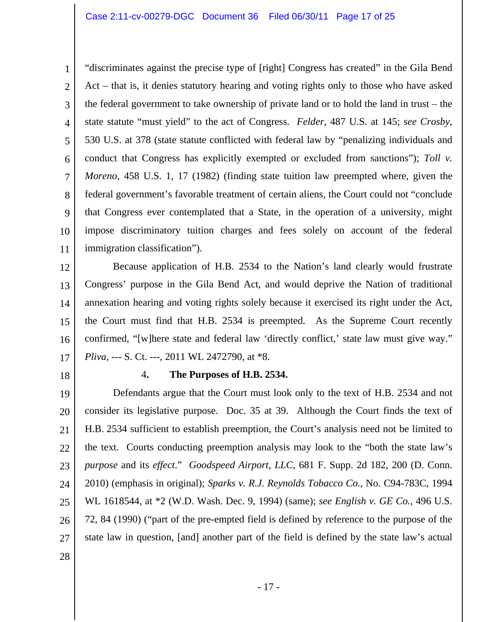1 2 3 4 5 6 7 8 9 10 11 "discriminates against the precise type of [right] Congress has created" in the Gila Bend Act – that is, it denies statutory hearing and voting rights only to those who have asked the federal government to take ownership of private land or to hold the land in trust – the state statute "must yield" to the act of Congress. *Felder*, 487 U.S. at 145; *see Crosby*, 530 U.S. at 378 (state statute conflicted with federal law by "penalizing individuals and conduct that Congress has explicitly exempted or excluded from sanctions"); *Toll v. Moreno*, 458 U.S. 1, 17 (1982) (finding state tuition law preempted where, given the federal government's favorable treatment of certain aliens, the Court could not "conclude that Congress ever contemplated that a State, in the operation of a university, might impose discriminatory tuition charges and fees solely on account of the federal immigration classification").

12 13 14 15 16 17 Because application of H.B. 2534 to the Nation's land clearly would frustrate Congress' purpose in the Gila Bend Act, and would deprive the Nation of traditional annexation hearing and voting rights solely because it exercised its right under the Act, the Court must find that H.B. 2534 is preempted. As the Supreme Court recently confirmed, "[w]here state and federal law 'directly conflict,' state law must give way." *Pliva*, --- S. Ct. ---, 2011 WL 2472790, at \*8.

18

#### 4**. The Purposes of H.B. 2534.**

19 20 21 22 23 24 25 26 27 Defendants argue that the Court must look only to the text of H.B. 2534 and not consider its legislative purpose. Doc. 35 at 39. Although the Court finds the text of H.B. 2534 sufficient to establish preemption, the Court's analysis need not be limited to the text. Courts conducting preemption analysis may look to the "both the state law's *purpose* and its *effect*." *Goodspeed Airport, LLC*, 681 F. Supp. 2d 182, 200 (D. Conn. 2010) (emphasis in original); *Sparks v. R.J. Reynolds Tobacco Co.*, No. C94-783C, 1994 WL 1618544, at \*2 (W.D. Wash. Dec. 9, 1994) (same); *see English v. GE Co.*, 496 U.S. 72, 84 (1990) ("part of the pre-empted field is defined by reference to the purpose of the state law in question, [and] another part of the field is defined by the state law's actual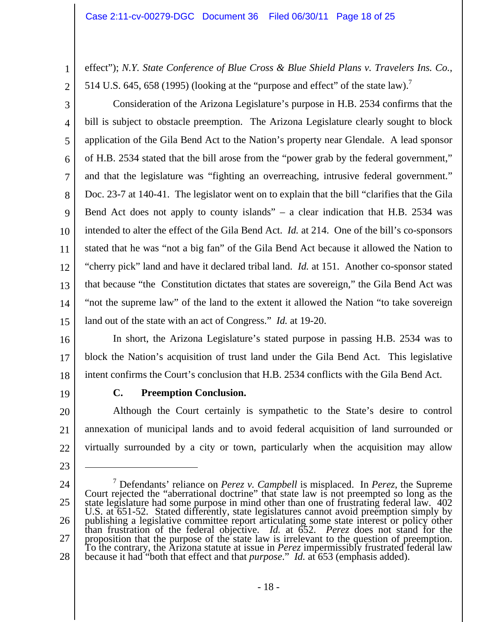effect"); *N.Y. State Conference of Blue Cross & Blue Shield Plans v. Travelers Ins. Co.*, 514 U.S. 645, 658 (1995) (looking at the "purpose and effect" of the state law).<sup>7</sup>

2

1

3 4 5 6 7 8 9 10 11 12 13 14 15 Consideration of the Arizona Legislature's purpose in H.B. 2534 confirms that the bill is subject to obstacle preemption. The Arizona Legislature clearly sought to block application of the Gila Bend Act to the Nation's property near Glendale. A lead sponsor of H.B. 2534 stated that the bill arose from the "power grab by the federal government," and that the legislature was "fighting an overreaching, intrusive federal government." Doc. 23-7 at 140-41. The legislator went on to explain that the bill "clarifies that the Gila Bend Act does not apply to county islands" – a clear indication that H.B. 2534 was intended to alter the effect of the Gila Bend Act. *Id.* at 214. One of the bill's co-sponsors stated that he was "not a big fan" of the Gila Bend Act because it allowed the Nation to "cherry pick" land and have it declared tribal land. *Id.* at 151. Another co-sponsor stated that because "the Constitution dictates that states are sovereign," the Gila Bend Act was "not the supreme law" of the land to the extent it allowed the Nation "to take sovereign land out of the state with an act of Congress." *Id.* at 19-20.

16

17 18 In short, the Arizona Legislature's stated purpose in passing H.B. 2534 was to block the Nation's acquisition of trust land under the Gila Bend Act. This legislative intent confirms the Court's conclusion that H.B. 2534 conflicts with the Gila Bend Act.

19

23

 $\overline{a}$ 

# **C. Preemption Conclusion.**

20 21 22 Although the Court certainly is sympathetic to the State's desire to control annexation of municipal lands and to avoid federal acquisition of land surrounded or virtually surrounded by a city or town, particularly when the acquisition may allow

24 25 26 27 28 <sup>7</sup> Defendants' reliance on *Perez* v. *Campbell* is misplaced. In *Perez*, the Supreme Court rejected the "aberrational doctrine" that state law is not preempted so long as the state legislature had some purpose in mind publishing a legislative committee report articulating some state interest or policy other<br>than frustration of the federal objective. *Id.* at 652. *Perez* does not stand for the<br>proposition that the purpose of the state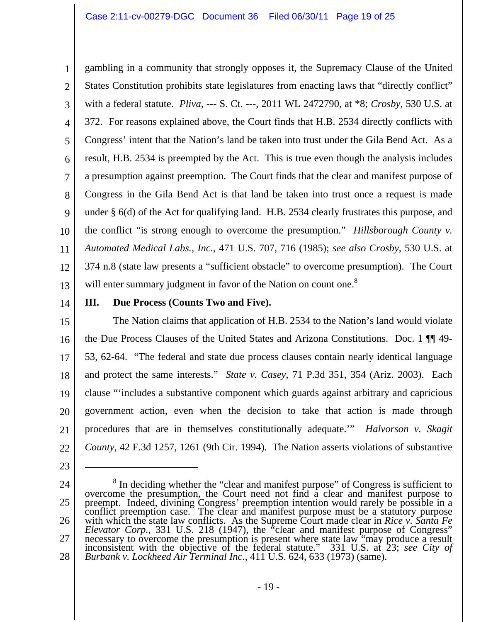1 2 3 4 5 6 7 8 9 10 11 12 13 gambling in a community that strongly opposes it, the Supremacy Clause of the United States Constitution prohibits state legislatures from enacting laws that "directly conflict" with a federal statute. *Pliva*, --- S. Ct. ---, 2011 WL 2472790, at \*8; *Crosby*, 530 U.S. at 372. For reasons explained above, the Court finds that H.B. 2534 directly conflicts with Congress' intent that the Nation's land be taken into trust under the Gila Bend Act. As a result, H.B. 2534 is preempted by the Act. This is true even though the analysis includes a presumption against preemption. The Court finds that the clear and manifest purpose of Congress in the Gila Bend Act is that land be taken into trust once a request is made under § 6(d) of the Act for qualifying land. H.B. 2534 clearly frustrates this purpose, and the conflict "is strong enough to overcome the presumption." *Hillsborough County v. Automated Medical Labs., Inc.*, 471 U.S. 707, 716 (1985); *see also Crosby*, 530 U.S. at 374 n.8 (state law presents a "sufficient obstacle" to overcome presumption). The Court will enter summary judgment in favor of the Nation on count one.<sup>8</sup>

14

#### **III. Due Process (Counts Two and Five).**

15 16 17 18 19 20 21 22 The Nation claims that application of H.B. 2534 to the Nation's land would violate the Due Process Clauses of the United States and Arizona Constitutions. Doc. 1 ¶¶ 49- 53, 62-64."The federal and state due process clauses contain nearly identical language and protect the same interests." *State v. Casey*, 71 P.3d 351, 354 (Ariz. 2003). Each clause "'includes a substantive component which guards against arbitrary and capricious government action, even when the decision to take that action is made through procedures that are in themselves constitutionally adequate.'" *Halvorson v. Skagit County*, 42 F.3d 1257, 1261 (9th Cir. 1994). The Nation asserts violations of substantive

23

 $\overline{a}$ 

24

25

26

27

<sup>&</sup>lt;sup>8</sup> In deciding whether the "clear and manifest purpose" of Congress is sufficient to overcome the presumption, the Court need not find a clear and manifest purpose to<br>preempt. Indeed, divining Congress' preemption intention would rarely be possible in a<br>conflict preemption case. The clear and manifest purp with which the state law conflicts. As the Supreme Court made clear in *Rice v. Santa Fe Elevator Corp.*, 331 U.S. 218 (1947), the "clear and manifest purpose of Congress" necessary to overcome the presumption is present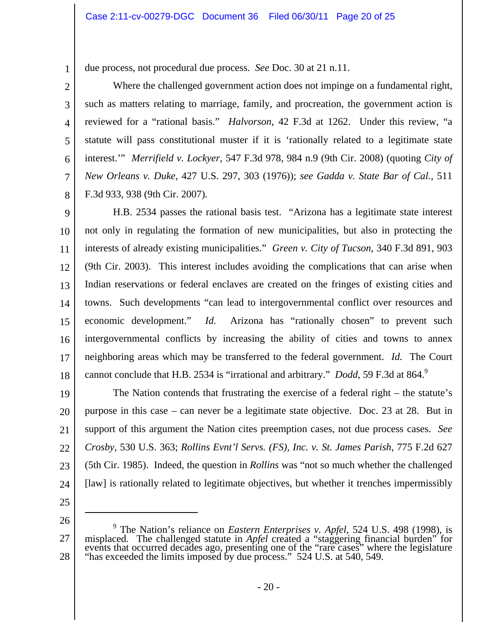due process, not procedural due process. *See* Doc. 30 at 21 n.11.

4 6 Where the challenged government action does not impinge on a fundamental right, such as matters relating to marriage, family, and procreation, the government action is reviewed for a "rational basis." *Halvorson*, 42 F.3d at 1262. Under this review, "a statute will pass constitutional muster if it is 'rationally related to a legitimate state interest.'" *Merrifield v. Lockyer*, 547 F.3d 978, 984 n.9 (9th Cir. 2008) (quoting *City of New Orleans v. Duke*, 427 U.S. 297, 303 (1976)); *see Gadda v. State Bar of Cal.*, 511 F.3d 933, 938 (9th Cir. 2007).

9 10 11 12 13 14 15 16 17 18 H.B. 2534 passes the rational basis test. "Arizona has a legitimate state interest not only in regulating the formation of new municipalities, but also in protecting the interests of already existing municipalities." *Green v. City of Tucson*, 340 F.3d 891, 903 (9th Cir. 2003). This interest includes avoiding the complications that can arise when Indian reservations or federal enclaves are created on the fringes of existing cities and towns. Such developments "can lead to intergovernmental conflict over resources and economic development." *Id.* Arizona has "rationally chosen" to prevent such intergovernmental conflicts by increasing the ability of cities and towns to annex neighboring areas which may be transferred to the federal government. *Id.* The Court cannot conclude that H.B. 2534 is "irrational and arbitrary." *Dodd*, 59 F.3d at 864.<sup>9</sup>

19 20 21 22 23 24 The Nation contends that frustrating the exercise of a federal right – the statute's purpose in this case – can never be a legitimate state objective. Doc. 23 at 28. But in support of this argument the Nation cites preemption cases, not due process cases. *See Crosby*, 530 U.S. 363; *Rollins Evnt'l Servs. (FS), Inc. v. St. James Parish*, 775 F.2d 627 (5th Cir. 1985). Indeed, the question in *Rollins* was "not so much whether the challenged [law] is rationally related to legitimate objectives, but whether it trenches impermissibly

25

26

 $\overline{a}$ 

1

2

3

5

7

<sup>27</sup>  28 9 The Nation's reliance on *Eastern Enterprises v. Apfel*, 524 U.S. 498 (1998), is misplaced. The challenged statute in *Apfel* created a "staggering financial burden" for<br>events that occurred decades ago, presenting one of the "rare cases" where the legislature<br>"has exceeded the limits imposed by due pr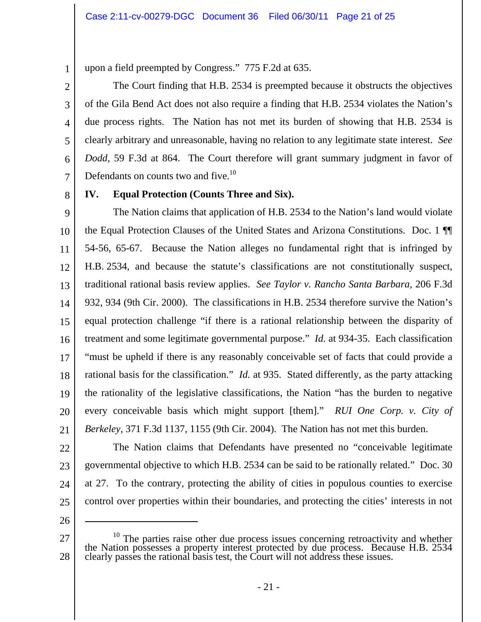upon a field preempted by Congress." 775 F.2d at 635.

The Court finding that H.B. 2534 is preempted because it obstructs the objectives of the Gila Bend Act does not also require a finding that H.B. 2534 violates the Nation's due process rights. The Nation has not met its burden of showing that H.B. 2534 is clearly arbitrary and unreasonable, having no relation to any legitimate state interest. *See Dodd*, 59 F.3d at 864. The Court therefore will grant summary judgment in favor of Defendants on counts two and five.<sup>10</sup>

7 8

1

2

3

4

5

6

# **IV. Equal Protection (Counts Three and Six).**

9 10 11 12 13 14 15 16 17 18 19 20 21 The Nation claims that application of H.B. 2534 to the Nation's land would violate the Equal Protection Clauses of the United States and Arizona Constitutions. Doc. 1 ¶¶ 54-56, 65-67. Because the Nation alleges no fundamental right that is infringed by H.B. 2534, and because the statute's classifications are not constitutionally suspect, traditional rational basis review applies. *See Taylor v. Rancho Santa Barbara*, 206 F.3d 932, 934 (9th Cir. 2000). The classifications in H.B. 2534 therefore survive the Nation's equal protection challenge "if there is a rational relationship between the disparity of treatment and some legitimate governmental purpose." *Id.* at 934-35. Each classification "must be upheld if there is any reasonably conceivable set of facts that could provide a rational basis for the classification." *Id.* at 935. Stated differently, as the party attacking the rationality of the legislative classifications, the Nation "has the burden to negative every conceivable basis which might support [them]." *RUI One Corp. v. City of Berkeley*, 371 F.3d 1137, 1155 (9th Cir. 2004). The Nation has not met this burden.

- 22
- 23
- 24
- 25 26

 $\overline{a}$ 

27 28  $^{10}$  The parties raise other due process issues concerning retroactivity and whether the Nation possesses a property interest protected by due process. Because H.B. 2534 clearly passes the rational basis test, the Court

The Nation claims that Defendants have presented no "conceivable legitimate

governmental objective to which H.B. 2534 can be said to be rationally related." Doc. 30

at 27. To the contrary, protecting the ability of cities in populous counties to exercise

control over properties within their boundaries, and protecting the cities' interests in not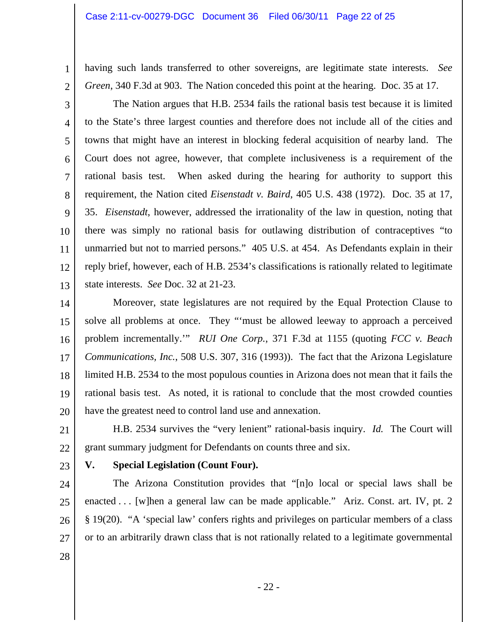having such lands transferred to other sovereigns, are legitimate state interests. *See Green*, 340 F.3d at 903. The Nation conceded this point at the hearing. Doc. 35 at 17.

2

1

3 4 5 6 7 8 9 10 11 12 13 The Nation argues that H.B. 2534 fails the rational basis test because it is limited to the State's three largest counties and therefore does not include all of the cities and towns that might have an interest in blocking federal acquisition of nearby land. The Court does not agree, however, that complete inclusiveness is a requirement of the rational basis test. When asked during the hearing for authority to support this requirement, the Nation cited *Eisenstadt v. Baird*, 405 U.S. 438 (1972). Doc. 35 at 17, 35. *Eisenstadt*, however, addressed the irrationality of the law in question, noting that there was simply no rational basis for outlawing distribution of contraceptives "to unmarried but not to married persons." 405 U.S. at 454. As Defendants explain in their reply brief, however, each of H.B. 2534's classifications is rationally related to legitimate state interests. *See* Doc. 32 at 21-23.

14 15 16 17 18 19 20 Moreover, state legislatures are not required by the Equal Protection Clause to solve all problems at once. They "'must be allowed leeway to approach a perceived problem incrementally.'" *RUI One Corp.*, 371 F.3d at 1155 (quoting *FCC v. Beach Communications, Inc.*, 508 U.S. 307, 316 (1993)). The fact that the Arizona Legislature limited H.B. 2534 to the most populous counties in Arizona does not mean that it fails the rational basis test. As noted, it is rational to conclude that the most crowded counties have the greatest need to control land use and annexation.

21 22 H.B. 2534 survives the "very lenient" rational-basis inquiry. *Id.* The Court will grant summary judgment for Defendants on counts three and six.

23

#### **V. Special Legislation (Count Four).**

24 25 26 27 The Arizona Constitution provides that "[n]o local or special laws shall be enacted . . . [w]hen a general law can be made applicable." Ariz. Const. art. IV, pt. 2 § 19(20). "A 'special law' confers rights and privileges on particular members of a class or to an arbitrarily drawn class that is not rationally related to a legitimate governmental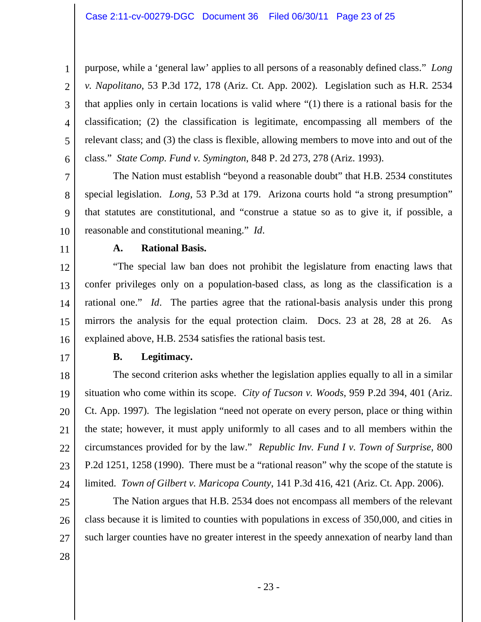2 3 4 5 6 purpose, while a 'general law' applies to all persons of a reasonably defined class." *Long v. Napolitano*, 53 P.3d 172, 178 (Ariz. Ct. App. 2002). Legislation such as H.R. 2534 that applies only in certain locations is valid where "(1) there is a rational basis for the classification; (2) the classification is legitimate, encompassing all members of the relevant class; and (3) the class is flexible, allowing members to move into and out of the class." *State Comp. Fund v. Symington*, 848 P. 2d 273, 278 (Ariz. 1993).

7 9 10 The Nation must establish "beyond a reasonable doubt" that H.B. 2534 constitutes special legislation. *Long*, 53 P.3d at 179. Arizona courts hold "a strong presumption" that statutes are constitutional, and "construe a statue so as to give it, if possible, a reasonable and constitutional meaning." *Id*.

11

8

1

#### **A. Rational Basis.**

12 13 14 15 16 "The special law ban does not prohibit the legislature from enacting laws that confer privileges only on a population-based class, as long as the classification is a rational one." *Id*. The parties agree that the rational-basis analysis under this prong mirrors the analysis for the equal protection claim. Docs. 23 at 28, 28 at 26. As explained above, H.B. 2534 satisfies the rational basis test.

17

#### **B. Legitimacy.**

18 19 20 21 22 23 24 The second criterion asks whether the legislation applies equally to all in a similar situation who come within its scope. *City of Tucson v. Woods*, 959 P.2d 394, 401 (Ariz. Ct. App. 1997). The legislation "need not operate on every person, place or thing within the state; however, it must apply uniformly to all cases and to all members within the circumstances provided for by the law." *Republic Inv. Fund I v. Town of Surprise*, 800 P.2d 1251, 1258 (1990). There must be a "rational reason" why the scope of the statute is limited. *Town of Gilbert v. Maricopa County*, 141 P.3d 416, 421 (Ariz. Ct. App. 2006).

25 26 27 The Nation argues that H.B. 2534 does not encompass all members of the relevant class because it is limited to counties with populations in excess of 350,000, and cities in such larger counties have no greater interest in the speedy annexation of nearby land than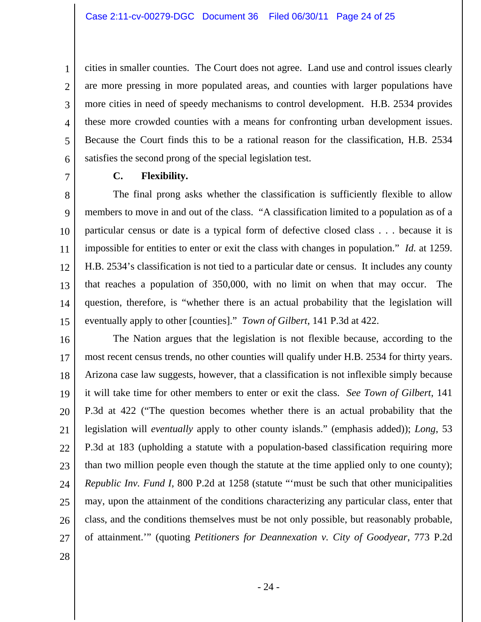cities in smaller counties. The Court does not agree. Land use and control issues clearly are more pressing in more populated areas, and counties with larger populations have more cities in need of speedy mechanisms to control development. H.B. 2534 provides these more crowded counties with a means for confronting urban development issues. Because the Court finds this to be a rational reason for the classification, H.B. 2534 satisfies the second prong of the special legislation test.

7

1

2

3

4

5

6

# **C. Flexibility.**

8 9 10 11 12 13 14 15 The final prong asks whether the classification is sufficiently flexible to allow members to move in and out of the class. "A classification limited to a population as of a particular census or date is a typical form of defective closed class . . . because it is impossible for entities to enter or exit the class with changes in population." *Id.* at 1259. H.B. 2534's classification is not tied to a particular date or census. It includes any county that reaches a population of 350,000, with no limit on when that may occur. The question, therefore, is "whether there is an actual probability that the legislation will eventually apply to other [counties]." *Town of Gilbert*, 141 P.3d at 422.

16 17 18 19 20 21 22 23 24 25 26 27 The Nation argues that the legislation is not flexible because, according to the most recent census trends, no other counties will qualify under H.B. 2534 for thirty years. Arizona case law suggests, however, that a classification is not inflexible simply because it will take time for other members to enter or exit the class. *See Town of Gilbert*, 141 P.3d at 422 ("The question becomes whether there is an actual probability that the legislation will *eventually* apply to other county islands." (emphasis added)); *Long*, 53 P.3d at 183 (upholding a statute with a population-based classification requiring more than two million people even though the statute at the time applied only to one county); *Republic Inv. Fund I*, 800 P.2d at 1258 (statute "'must be such that other municipalities may, upon the attainment of the conditions characterizing any particular class, enter that class, and the conditions themselves must be not only possible, but reasonably probable, of attainment.'" (quoting *Petitioners for Deannexation v. City of Goodyear*, 773 P.2d